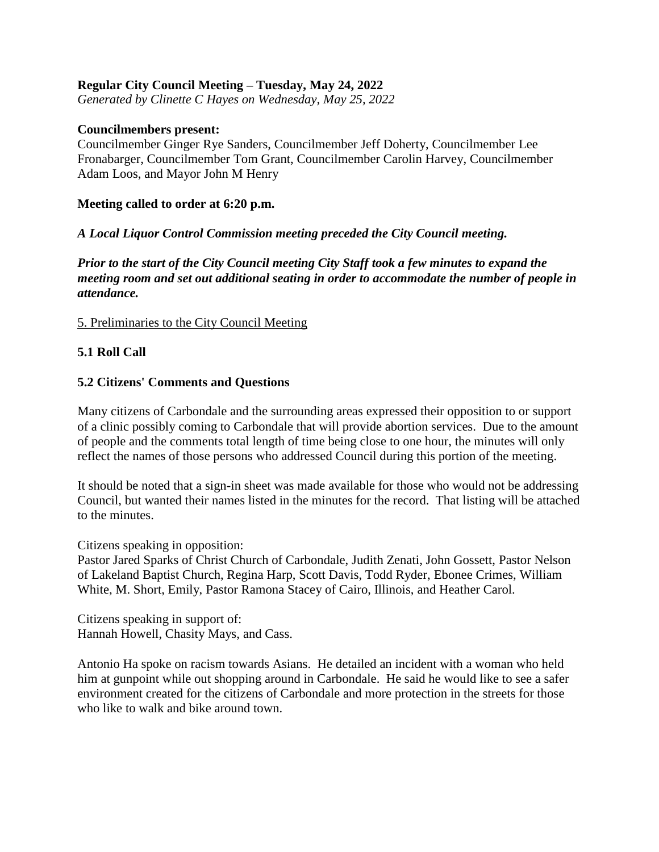### **Regular City Council Meeting – Tuesday, May 24, 2022**

*Generated by Clinette C Hayes on Wednesday, May 25, 2022*

#### **Councilmembers present:**

Councilmember Ginger Rye Sanders, Councilmember Jeff Doherty, Councilmember Lee Fronabarger, Councilmember Tom Grant, Councilmember Carolin Harvey, Councilmember Adam Loos, and Mayor John M Henry

#### **Meeting called to order at 6:20 p.m.**

### *A Local Liquor Control Commission meeting preceded the City Council meeting.*

*Prior to the start of the City Council meeting City Staff took a few minutes to expand the meeting room and set out additional seating in order to accommodate the number of people in attendance.*

#### 5. Preliminaries to the City Council Meeting

## **5.1 Roll Call**

#### **5.2 Citizens' Comments and Questions**

Many citizens of Carbondale and the surrounding areas expressed their opposition to or support of a clinic possibly coming to Carbondale that will provide abortion services. Due to the amount of people and the comments total length of time being close to one hour, the minutes will only reflect the names of those persons who addressed Council during this portion of the meeting.

It should be noted that a sign-in sheet was made available for those who would not be addressing Council, but wanted their names listed in the minutes for the record. That listing will be attached to the minutes.

Citizens speaking in opposition:

Pastor Jared Sparks of Christ Church of Carbondale, Judith Zenati, John Gossett, Pastor Nelson of Lakeland Baptist Church, Regina Harp, Scott Davis, Todd Ryder, Ebonee Crimes, William White, M. Short, Emily, Pastor Ramona Stacey of Cairo, Illinois, and Heather Carol.

Citizens speaking in support of: Hannah Howell, Chasity Mays, and Cass.

Antonio Ha spoke on racism towards Asians. He detailed an incident with a woman who held him at gunpoint while out shopping around in Carbondale. He said he would like to see a safer environment created for the citizens of Carbondale and more protection in the streets for those who like to walk and bike around town.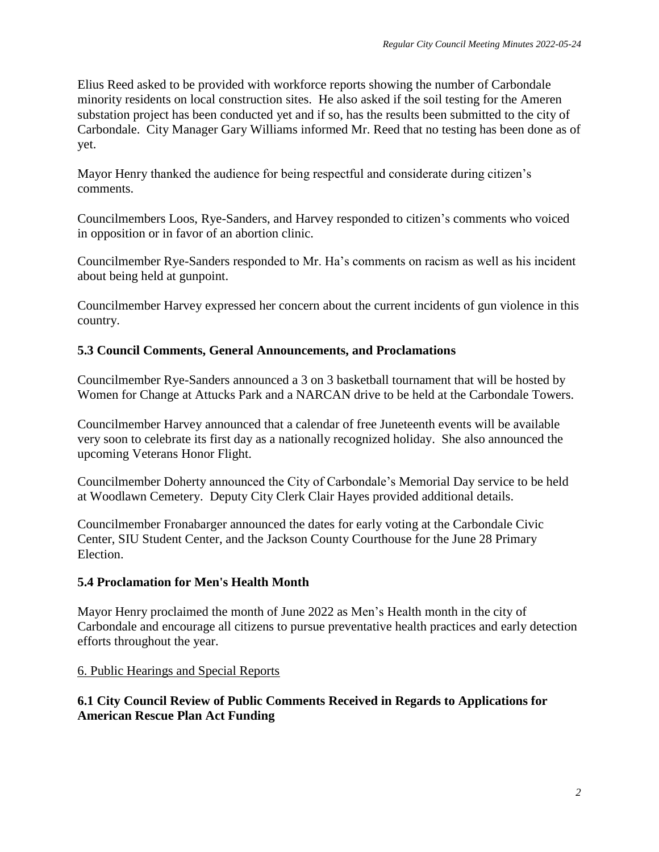Elius Reed asked to be provided with workforce reports showing the number of Carbondale minority residents on local construction sites. He also asked if the soil testing for the Ameren substation project has been conducted yet and if so, has the results been submitted to the city of Carbondale. City Manager Gary Williams informed Mr. Reed that no testing has been done as of yet.

Mayor Henry thanked the audience for being respectful and considerate during citizen's comments.

Councilmembers Loos, Rye-Sanders, and Harvey responded to citizen's comments who voiced in opposition or in favor of an abortion clinic.

Councilmember Rye-Sanders responded to Mr. Ha's comments on racism as well as his incident about being held at gunpoint.

Councilmember Harvey expressed her concern about the current incidents of gun violence in this country.

### **5.3 Council Comments, General Announcements, and Proclamations**

Councilmember Rye-Sanders announced a 3 on 3 basketball tournament that will be hosted by Women for Change at Attucks Park and a NARCAN drive to be held at the Carbondale Towers.

Councilmember Harvey announced that a calendar of free Juneteenth events will be available very soon to celebrate its first day as a nationally recognized holiday. She also announced the upcoming Veterans Honor Flight.

Councilmember Doherty announced the City of Carbondale's Memorial Day service to be held at Woodlawn Cemetery. Deputy City Clerk Clair Hayes provided additional details.

Councilmember Fronabarger announced the dates for early voting at the Carbondale Civic Center, SIU Student Center, and the Jackson County Courthouse for the June 28 Primary Election.

## **5.4 Proclamation for Men's Health Month**

Mayor Henry proclaimed the month of June 2022 as Men's Health month in the city of Carbondale and encourage all citizens to pursue preventative health practices and early detection efforts throughout the year.

#### 6. Public Hearings and Special Reports

## **6.1 City Council Review of Public Comments Received in Regards to Applications for American Rescue Plan Act Funding**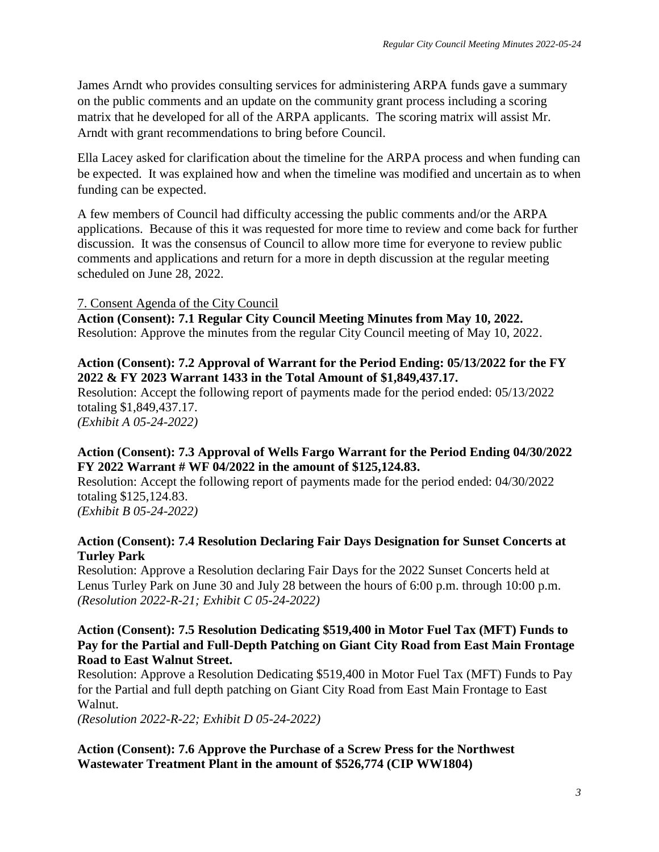James Arndt who provides consulting services for administering ARPA funds gave a summary on the public comments and an update on the community grant process including a scoring matrix that he developed for all of the ARPA applicants. The scoring matrix will assist Mr. Arndt with grant recommendations to bring before Council.

Ella Lacey asked for clarification about the timeline for the ARPA process and when funding can be expected. It was explained how and when the timeline was modified and uncertain as to when funding can be expected.

A few members of Council had difficulty accessing the public comments and/or the ARPA applications. Because of this it was requested for more time to review and come back for further discussion. It was the consensus of Council to allow more time for everyone to review public comments and applications and return for a more in depth discussion at the regular meeting scheduled on June 28, 2022.

## 7. Consent Agenda of the City Council

**Action (Consent): 7.1 Regular City Council Meeting Minutes from May 10, 2022.** Resolution: Approve the minutes from the regular City Council meeting of May 10, 2022.

## **Action (Consent): 7.2 Approval of Warrant for the Period Ending: 05/13/2022 for the FY 2022 & FY 2023 Warrant 1433 in the Total Amount of \$1,849,437.17.**

Resolution: Accept the following report of payments made for the period ended: 05/13/2022 totaling \$1,849,437.17.

*(Exhibit A 05-24-2022)*

## **Action (Consent): 7.3 Approval of Wells Fargo Warrant for the Period Ending 04/30/2022 FY 2022 Warrant # WF 04/2022 in the amount of \$125,124.83.**

Resolution: Accept the following report of payments made for the period ended: 04/30/2022 totaling \$125,124.83.

*(Exhibit B 05-24-2022)*

### **Action (Consent): 7.4 Resolution Declaring Fair Days Designation for Sunset Concerts at Turley Park**

Resolution: Approve a Resolution declaring Fair Days for the 2022 Sunset Concerts held at Lenus Turley Park on June 30 and July 28 between the hours of 6:00 p.m. through 10:00 p.m. *(Resolution 2022-R-21; Exhibit C 05-24-2022)*

### **Action (Consent): 7.5 Resolution Dedicating \$519,400 in Motor Fuel Tax (MFT) Funds to Pay for the Partial and Full-Depth Patching on Giant City Road from East Main Frontage Road to East Walnut Street.**

Resolution: Approve a Resolution Dedicating \$519,400 in Motor Fuel Tax (MFT) Funds to Pay for the Partial and full depth patching on Giant City Road from East Main Frontage to East Walnut.

*(Resolution 2022-R-22; Exhibit D 05-24-2022)*

## **Action (Consent): 7.6 Approve the Purchase of a Screw Press for the Northwest Wastewater Treatment Plant in the amount of \$526,774 (CIP WW1804)**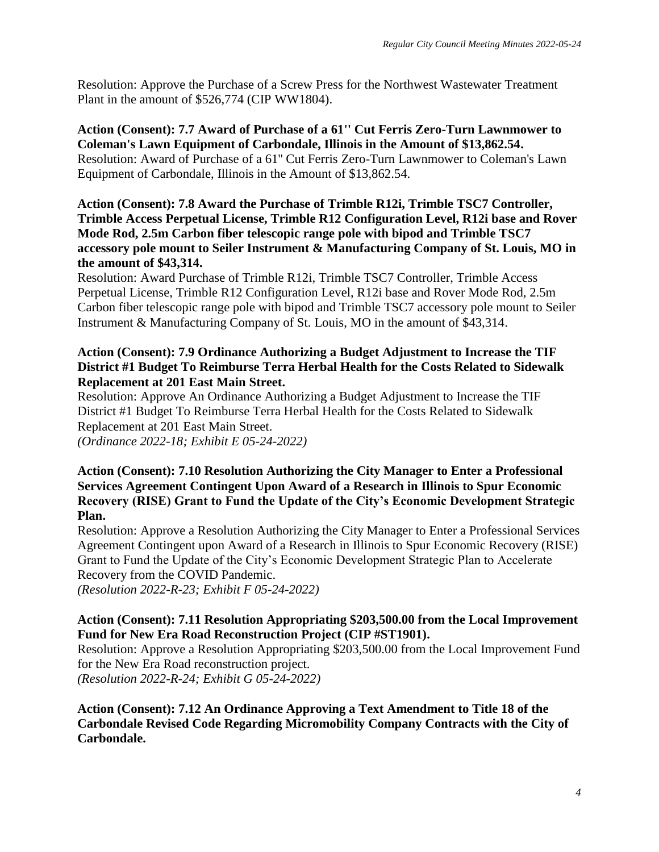Resolution: Approve the Purchase of a Screw Press for the Northwest Wastewater Treatment Plant in the amount of \$526,774 (CIP WW1804).

**Action (Consent): 7.7 Award of Purchase of a 61'' Cut Ferris Zero-Turn Lawnmower to Coleman's Lawn Equipment of Carbondale, Illinois in the Amount of \$13,862.54.** Resolution: Award of Purchase of a 61'' Cut Ferris Zero-Turn Lawnmower to Coleman's Lawn Equipment of Carbondale, Illinois in the Amount of \$13,862.54.

### **Action (Consent): 7.8 Award the Purchase of Trimble R12i, Trimble TSC7 Controller, Trimble Access Perpetual License, Trimble R12 Configuration Level, R12i base and Rover Mode Rod, 2.5m Carbon fiber telescopic range pole with bipod and Trimble TSC7 accessory pole mount to Seiler Instrument & Manufacturing Company of St. Louis, MO in the amount of \$43,314.**

Resolution: Award Purchase of Trimble R12i, Trimble TSC7 Controller, Trimble Access Perpetual License, Trimble R12 Configuration Level, R12i base and Rover Mode Rod, 2.5m Carbon fiber telescopic range pole with bipod and Trimble TSC7 accessory pole mount to Seiler Instrument & Manufacturing Company of St. Louis, MO in the amount of \$43,314.

### **Action (Consent): 7.9 Ordinance Authorizing a Budget Adjustment to Increase the TIF District #1 Budget To Reimburse Terra Herbal Health for the Costs Related to Sidewalk Replacement at 201 East Main Street.**

Resolution: Approve An Ordinance Authorizing a Budget Adjustment to Increase the TIF District #1 Budget To Reimburse Terra Herbal Health for the Costs Related to Sidewalk Replacement at 201 East Main Street.

*(Ordinance 2022-18; Exhibit E 05-24-2022)*

### **Action (Consent): 7.10 Resolution Authorizing the City Manager to Enter a Professional Services Agreement Contingent Upon Award of a Research in Illinois to Spur Economic Recovery (RISE) Grant to Fund the Update of the City's Economic Development Strategic Plan.**

Resolution: Approve a Resolution Authorizing the City Manager to Enter a Professional Services Agreement Contingent upon Award of a Research in Illinois to Spur Economic Recovery (RISE) Grant to Fund the Update of the City's Economic Development Strategic Plan to Accelerate Recovery from the COVID Pandemic.

*(Resolution 2022-R-23; Exhibit F 05-24-2022)*

# **Action (Consent): 7.11 Resolution Appropriating \$203,500.00 from the Local Improvement Fund for New Era Road Reconstruction Project (CIP #ST1901).**

Resolution: Approve a Resolution Appropriating \$203,500.00 from the Local Improvement Fund for the New Era Road reconstruction project.

*(Resolution 2022-R-24; Exhibit G 05-24-2022)*

**Action (Consent): 7.12 An Ordinance Approving a Text Amendment to Title 18 of the Carbondale Revised Code Regarding Micromobility Company Contracts with the City of Carbondale.**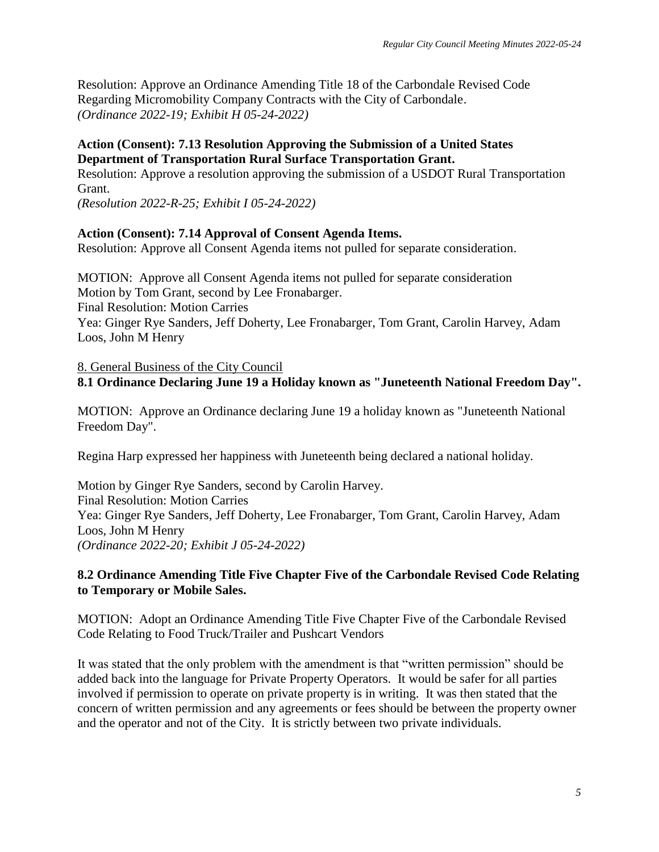Resolution: Approve an Ordinance Amending Title 18 of the Carbondale Revised Code Regarding Micromobility Company Contracts with the City of Carbondale. *(Ordinance 2022-19; Exhibit H 05-24-2022)*

### **Action (Consent): 7.13 Resolution Approving the Submission of a United States Department of Transportation Rural Surface Transportation Grant.**

Resolution: Approve a resolution approving the submission of a USDOT Rural Transportation Grant.

*(Resolution 2022-R-25; Exhibit I 05-24-2022)*

### **Action (Consent): 7.14 Approval of Consent Agenda Items.**

Resolution: Approve all Consent Agenda items not pulled for separate consideration.

MOTION: Approve all Consent Agenda items not pulled for separate consideration Motion by Tom Grant, second by Lee Fronabarger. Final Resolution: Motion Carries Yea: Ginger Rye Sanders, Jeff Doherty, Lee Fronabarger, Tom Grant, Carolin Harvey, Adam Loos, John M Henry

### 8. General Business of the City Council **8.1 Ordinance Declaring June 19 a Holiday known as "Juneteenth National Freedom Day".**

MOTION: Approve an Ordinance declaring June 19 a holiday known as "Juneteenth National Freedom Day".

Regina Harp expressed her happiness with Juneteenth being declared a national holiday.

Motion by Ginger Rye Sanders, second by Carolin Harvey. Final Resolution: Motion Carries Yea: Ginger Rye Sanders, Jeff Doherty, Lee Fronabarger, Tom Grant, Carolin Harvey, Adam Loos, John M Henry *(Ordinance 2022-20; Exhibit J 05-24-2022)*

### **8.2 Ordinance Amending Title Five Chapter Five of the Carbondale Revised Code Relating to Temporary or Mobile Sales.**

MOTION: Adopt an Ordinance Amending Title Five Chapter Five of the Carbondale Revised Code Relating to Food Truck/Trailer and Pushcart Vendors

It was stated that the only problem with the amendment is that "written permission" should be added back into the language for Private Property Operators. It would be safer for all parties involved if permission to operate on private property is in writing. It was then stated that the concern of written permission and any agreements or fees should be between the property owner and the operator and not of the City. It is strictly between two private individuals.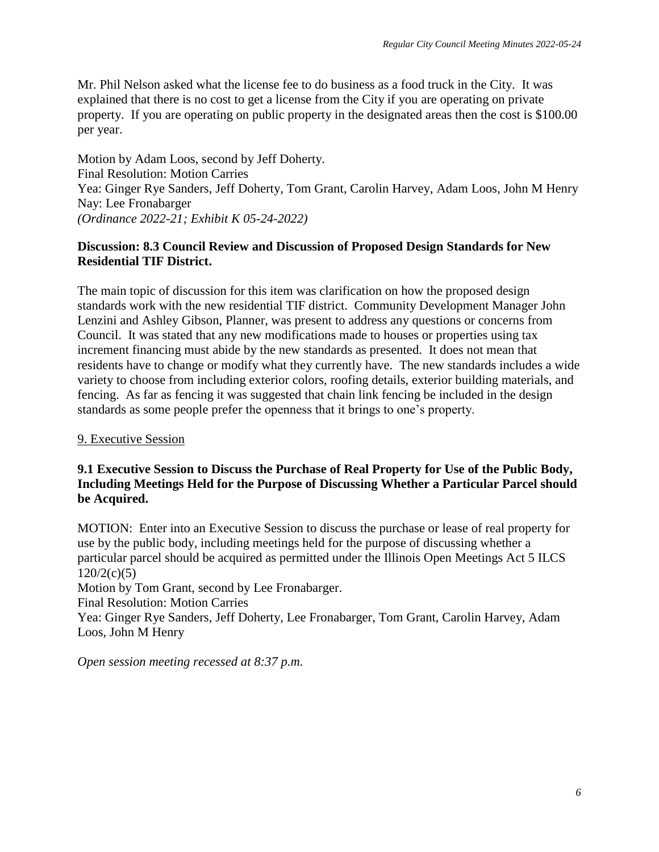Mr. Phil Nelson asked what the license fee to do business as a food truck in the City. It was explained that there is no cost to get a license from the City if you are operating on private property. If you are operating on public property in the designated areas then the cost is \$100.00 per year.

Motion by Adam Loos, second by Jeff Doherty. Final Resolution: Motion Carries Yea: Ginger Rye Sanders, Jeff Doherty, Tom Grant, Carolin Harvey, Adam Loos, John M Henry Nay: Lee Fronabarger *(Ordinance 2022-21; Exhibit K 05-24-2022)*

### **Discussion: 8.3 Council Review and Discussion of Proposed Design Standards for New Residential TIF District.**

The main topic of discussion for this item was clarification on how the proposed design standards work with the new residential TIF district. Community Development Manager John Lenzini and Ashley Gibson, Planner, was present to address any questions or concerns from Council. It was stated that any new modifications made to houses or properties using tax increment financing must abide by the new standards as presented. It does not mean that residents have to change or modify what they currently have. The new standards includes a wide variety to choose from including exterior colors, roofing details, exterior building materials, and fencing. As far as fencing it was suggested that chain link fencing be included in the design standards as some people prefer the openness that it brings to one's property.

## 9. Executive Session

### **9.1 Executive Session to Discuss the Purchase of Real Property for Use of the Public Body, Including Meetings Held for the Purpose of Discussing Whether a Particular Parcel should be Acquired.**

MOTION: Enter into an Executive Session to discuss the purchase or lease of real property for use by the public body, including meetings held for the purpose of discussing whether a particular parcel should be acquired as permitted under the Illinois Open Meetings Act 5 ILCS  $120/2(c)(5)$ 

Motion by Tom Grant, second by Lee Fronabarger.

Final Resolution: Motion Carries

Yea: Ginger Rye Sanders, Jeff Doherty, Lee Fronabarger, Tom Grant, Carolin Harvey, Adam Loos, John M Henry

*Open session meeting recessed at 8:37 p.m.*